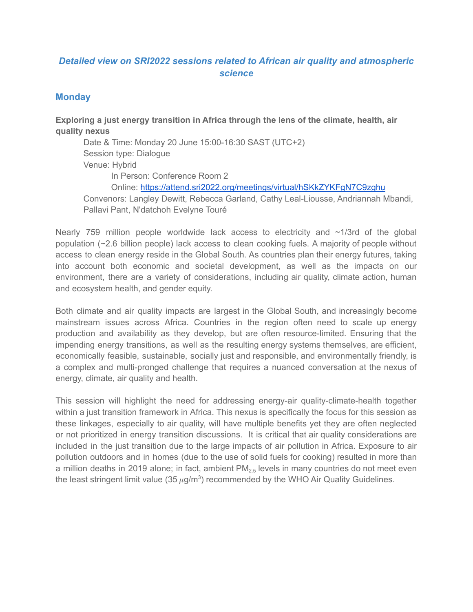## *Detailed view on SRI2022 sessions related to African air quality and atmospheric science*

### **Monday**

**Exploring a just energy transition in Africa through the lens of the climate, health, air quality nexus**

Date & Time: Monday 20 June 15:00-16:30 SAST (UTC+2) Session type: Dialogue Venue: Hybrid In Person: Conference Room 2 Online: <https://attend.sri2022.org/meetings/virtual/hSKkZYKFgN7C9zghu> Convenors: Langley Dewitt, Rebecca Garland, Cathy Leal-Liousse, Andriannah Mbandi, Pallavi Pant, N'datchoh Evelyne Touré

Nearly 759 million people worldwide lack access to electricity and  $\sim$ 1/3rd of the global population (~2.6 billion people) lack access to clean cooking fuels. A majority of people without access to clean energy reside in the Global South. As countries plan their energy futures, taking into account both economic and societal development, as well as the impacts on our environment, there are a variety of considerations, including air quality, climate action, human and ecosystem health, and gender equity.

Both climate and air quality impacts are largest in the Global South, and increasingly become mainstream issues across Africa. Countries in the region often need to scale up energy production and availability as they develop, but are often resource-limited. Ensuring that the impending energy transitions, as well as the resulting energy systems themselves, are efficient, economically feasible, sustainable, socially just and responsible, and environmentally friendly, is a complex and multi-pronged challenge that requires a nuanced conversation at the nexus of energy, climate, air quality and health.

This session will highlight the need for addressing energy-air quality-climate-health together within a just transition framework in Africa. This nexus is specifically the focus for this session as these linkages, especially to air quality, will have multiple benefits yet they are often neglected or not prioritized in energy transition discussions. It is critical that air quality considerations are included in the just transition due to the large impacts of air pollution in Africa. Exposure to air pollution outdoors and in homes (due to the use of solid fuels for cooking) resulted in more than a million deaths in 2019 alone; in fact, ambient  $PM_{2.5}$  levels in many countries do not meet even the least stringent limit value (35  $\mu$ g/m<sup>3</sup>) recommended by the WHO Air Quality Guidelines.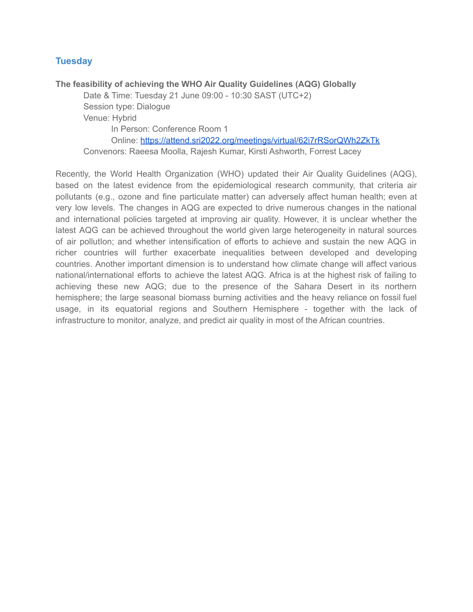### **Tuesday**

**The feasibility of achieving the WHO Air Quality Guidelines (AQG) Globally** Date & Time: Tuesday 21 June 09:00 - 10:30 SAST (UTC+2) Session type: Dialogue Venue: Hybrid In Person: Conference Room 1 Online: <https://attend.sri2022.org/meetings/virtual/62i7rRSorQWh2ZkTk> Convenors: Raeesa Moolla, Rajesh Kumar, Kirsti Ashworth, Forrest Lacey

Recently, the World Health Organization (WHO) updated their Air Quality Guidelines (AQG), based on the latest evidence from the epidemiological research community, that criteria air pollutants (e.g., ozone and fine particulate matter) can adversely affect human health; even at very low levels. The changes in AQG are expected to drive numerous changes in the national and international policies targeted at improving air quality. However, it is unclear whether the latest AQG can be achieved throughout the world given large heterogeneity in natural sources of air pollutIon; and whether intensification of efforts to achieve and sustain the new AQG in richer countries will further exacerbate inequalities between developed and developing countries. Another important dimension is to understand how climate change will affect various national/international efforts to achieve the latest AQG. Africa is at the highest risk of failing to achieving these new AQG; due to the presence of the Sahara Desert in its northern hemisphere; the large seasonal biomass burning activities and the heavy reliance on fossil fuel usage, in its equatorial regions and Southern Hemisphere - together with the lack of infrastructure to monitor, analyze, and predict air quality in most of the African countries.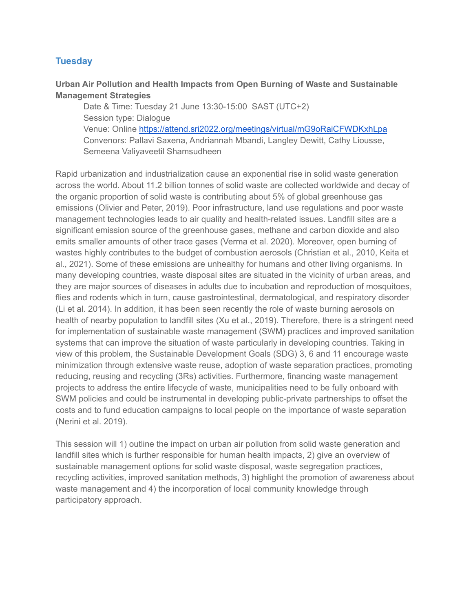### **Tuesday**

### **Urban Air Pollution and Health Impacts from Open Burning of Waste and Sustainable Management Strategies**

Date & Time: Tuesday 21 June 13:30-15:00 SAST (UTC+2) Session type: Dialogue Venue: Online <https://attend.sri2022.org/meetings/virtual/mG9oRaiCFWDKxhLpa> Convenors: Pallavi Saxena, Andriannah Mbandi, Langley Dewitt, Cathy Liousse, Semeena Valiyaveetil Shamsudheen

Rapid urbanization and industrialization cause an exponential rise in solid waste generation across the world. About 11.2 billion tonnes of solid waste are collected worldwide and decay of the organic proportion of solid waste is contributing about 5% of global greenhouse gas emissions (Olivier and Peter, 2019). Poor infrastructure, land use regulations and poor waste management technologies leads to air quality and health-related issues. Landfill sites are a significant emission source of the greenhouse gases, methane and carbon dioxide and also emits smaller amounts of other trace gases (Verma et al. 2020). Moreover, open burning of wastes highly contributes to the budget of combustion aerosols (Christian et al., 2010, Keita et al., 2021). Some of these emissions are unhealthy for humans and other living organisms. In many developing countries, waste disposal sites are situated in the vicinity of urban areas, and they are major sources of diseases in adults due to incubation and reproduction of mosquitoes, flies and rodents which in turn, cause gastrointestinal, dermatological, and respiratory disorder (Li et al. 2014). In addition, it has been seen recently the role of waste burning aerosols on health of nearby population to landfill sites (Xu et al., 2019). Therefore, there is a stringent need for implementation of sustainable waste management (SWM) practices and improved sanitation systems that can improve the situation of waste particularly in developing countries. Taking in view of this problem, the Sustainable Development Goals (SDG) 3, 6 and 11 encourage waste minimization through extensive waste reuse, adoption of waste separation practices, promoting reducing, reusing and recycling (3Rs) activities. Furthermore, financing waste management projects to address the entire lifecycle of waste, municipalities need to be fully onboard with SWM policies and could be instrumental in developing public-private partnerships to offset the costs and to fund education campaigns to local people on the importance of waste separation (Nerini et al. 2019).

This session will 1) outline the impact on urban air pollution from solid waste generation and landfill sites which is further responsible for human health impacts, 2) give an overview of sustainable management options for solid waste disposal, waste segregation practices, recycling activities, improved sanitation methods, 3) highlight the promotion of awareness about waste management and 4) the incorporation of local community knowledge through participatory approach.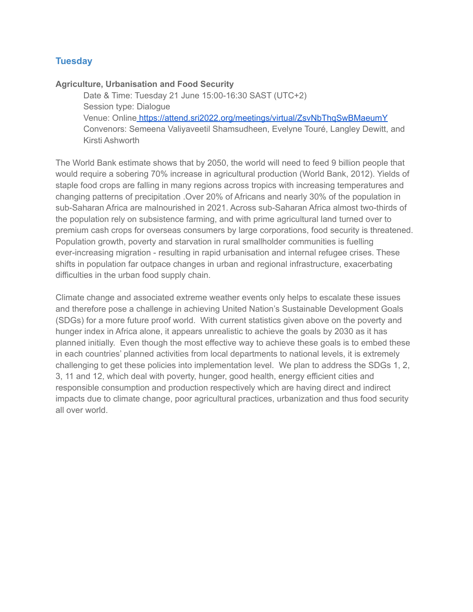### **Tuesday**

#### **Agriculture, Urbanisation and Food Security**

Date & Time: Tuesday 21 June 15:00-16:30 SAST (UTC+2) Session type: Dialogue Venue: Online <https://attend.sri2022.org/meetings/virtual/ZsvNbThqSwBMaeumY> Convenors: Semeena Valiyaveetil Shamsudheen, Evelyne Touré, Langley Dewitt, and Kirsti Ashworth

The World Bank estimate shows that by 2050, the world will need to feed 9 billion people that would require a sobering 70% increase in agricultural production (World Bank, 2012). Yields of staple food crops are falling in many regions across tropics with increasing temperatures and changing patterns of precipitation .Over 20% of Africans and nearly 30% of the population in sub-Saharan Africa are malnourished in 2021. Across sub-Saharan Africa almost two-thirds of the population rely on subsistence farming, and with prime agricultural land turned over to premium cash crops for overseas consumers by large corporations, food security is threatened. Population growth, poverty and starvation in rural smallholder communities is fuelling ever-increasing migration - resulting in rapid urbanisation and internal refugee crises. These shifts in population far outpace changes in urban and regional infrastructure, exacerbating difficulties in the urban food supply chain.

Climate change and associated extreme weather events only helps to escalate these issues and therefore pose a challenge in achieving United Nation's Sustainable Development Goals (SDGs) for a more future proof world. With current statistics given above on the poverty and hunger index in Africa alone, it appears unrealistic to achieve the goals by 2030 as it has planned initially. Even though the most effective way to achieve these goals is to embed these in each countries' planned activities from local departments to national levels, it is extremely challenging to get these policies into implementation level. We plan to address the SDGs 1, 2, 3, 11 and 12, which deal with poverty, hunger, good health, energy efficient cities and responsible consumption and production respectively which are having direct and indirect impacts due to climate change, poor agricultural practices, urbanization and thus food security all over world.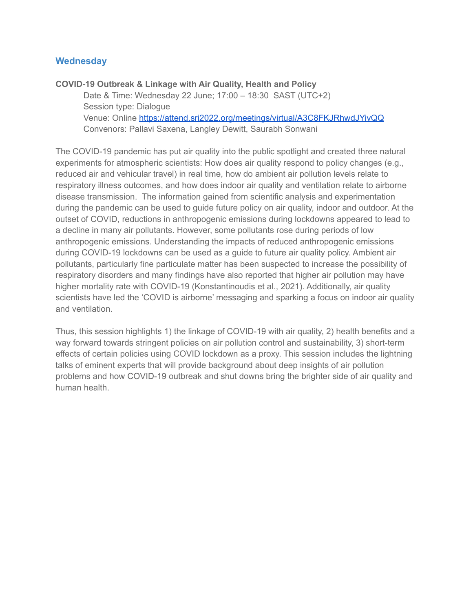### **Wednesday**

**COVID-19 Outbreak & Linkage with Air Quality, Health and Policy** Date & Time: Wednesday 22 June; 17:00 – 18:30 SAST (UTC+2) Session type: Dialogue Venue: Online <https://attend.sri2022.org/meetings/virtual/A3C8FKJRhwdJYivQQ> Convenors: Pallavi Saxena, Langley Dewitt, Saurabh Sonwani

The COVID-19 pandemic has put air quality into the public spotlight and created three natural experiments for atmospheric scientists: How does air quality respond to policy changes (e.g., reduced air and vehicular travel) in real time, how do ambient air pollution levels relate to respiratory illness outcomes, and how does indoor air quality and ventilation relate to airborne disease transmission. The information gained from scientific analysis and experimentation during the pandemic can be used to guide future policy on air quality, indoor and outdoor. At the outset of COVID, reductions in anthropogenic emissions during lockdowns appeared to lead to a decline in many air pollutants. However, some pollutants rose during periods of low anthropogenic emissions. Understanding the impacts of reduced anthropogenic emissions during COVID-19 lockdowns can be used as a guide to future air quality policy. Ambient air pollutants, particularly fine particulate matter has been suspected to increase the possibility of respiratory disorders and many findings have also reported that higher air pollution may have higher mortality rate with COVID-19 (Konstantinoudis et al., 2021). Additionally, air quality scientists have led the 'COVID is airborne' messaging and sparking a focus on indoor air quality and ventilation.

Thus, this session highlights 1) the linkage of COVID-19 with air quality, 2) health benefits and a way forward towards stringent policies on air pollution control and sustainability, 3) short-term effects of certain policies using COVID lockdown as a proxy. This session includes the lightning talks of eminent experts that will provide background about deep insights of air pollution problems and how COVID-19 outbreak and shut downs bring the brighter side of air quality and human health.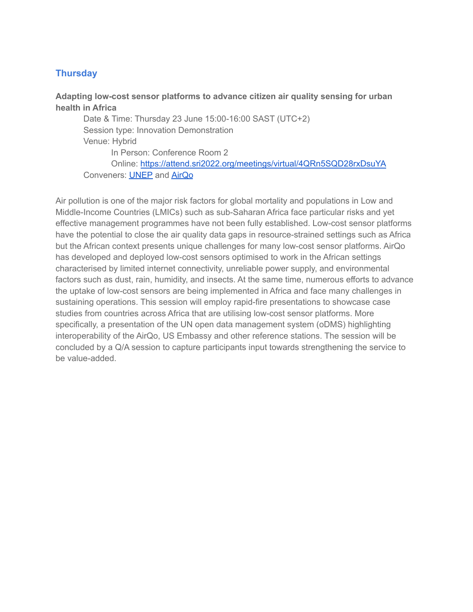# **Thursday**

### **Adapting low-cost sensor platforms to advance citizen air quality sensing for urban health in Africa**

Date & Time: Thursday 23 June 15:00-16:00 SAST (UTC+2) Session type: Innovation Demonstration Venue: Hybrid In Person: Conference Room 2 Online: <https://attend.sri2022.org/meetings/virtual/4QRn5SQD28rxDsuYA> Conveners: [UNEP](https://www.unep.org/) and [AirQo](https://www.airqo.net/)

Air pollution is one of the major risk factors for global mortality and populations in Low and Middle-Income Countries (LMICs) such as sub-Saharan Africa face particular risks and yet effective management programmes have not been fully established. Low-cost sensor platforms have the potential to close the air quality data gaps in resource-strained settings such as Africa but the African context presents unique challenges for many low-cost sensor platforms. AirQo has developed and deployed low-cost sensors optimised to work in the African settings characterised by limited internet connectivity, unreliable power supply, and environmental factors such as dust, rain, humidity, and insects. At the same time, numerous efforts to advance the uptake of low-cost sensors are being implemented in Africa and face many challenges in sustaining operations. This session will employ rapid-fire presentations to showcase case studies from countries across Africa that are utilising low-cost sensor platforms. More specifically, a presentation of the UN open data management system (oDMS) highlighting interoperability of the AirQo, US Embassy and other reference stations. The session will be concluded by a Q/A session to capture participants input towards strengthening the service to be value-added.